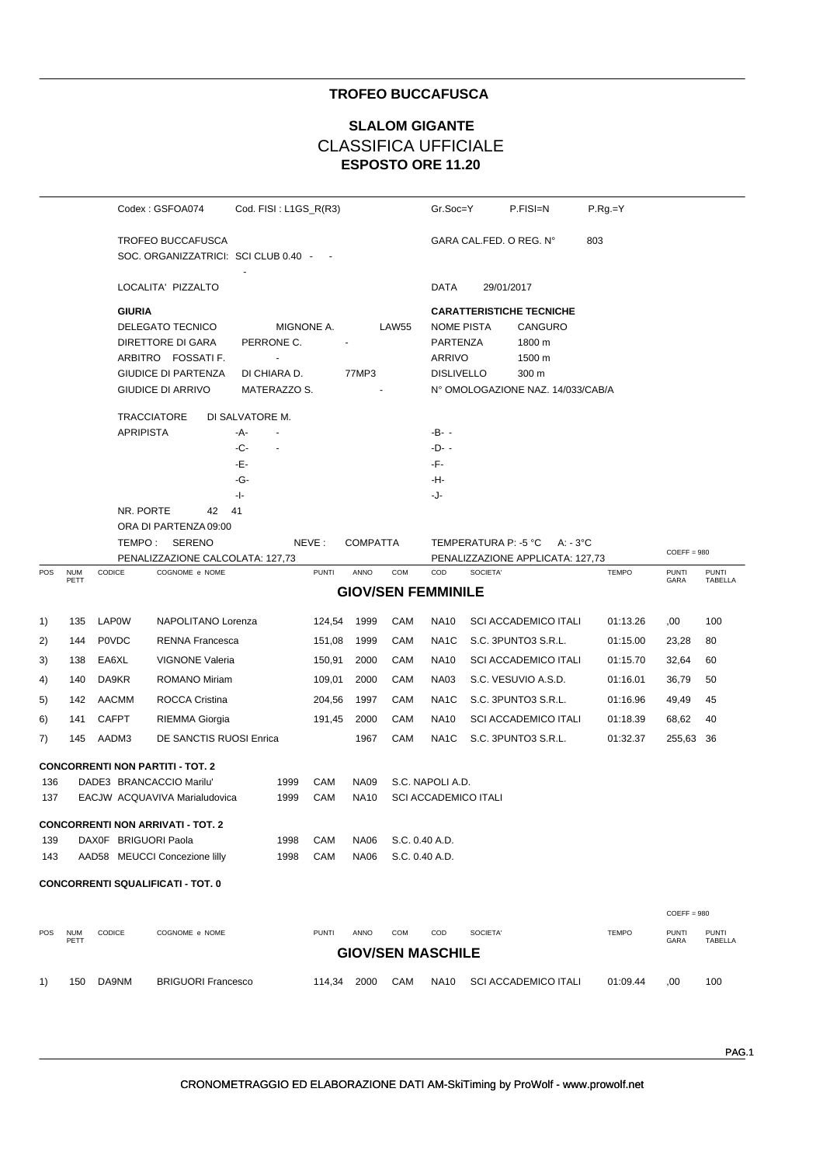## **TROFEO BUCCAFUSCA**

## **ESPOSTO ORE 11.20 SLALOM GIGANTE** CLASSIFICA UFFICIALE

|                                      |                                           | Codex: GSFOA074               |                                                        | $Cod.$ FISI : $L1GS_R(R3)$ |            |                            |      |              | Gr.Soc=Y<br>P.FISI=N<br>$P.Rg = Y$ |                                                                 |                             |              |                      |                         |  |
|--------------------------------------|-------------------------------------------|-------------------------------|--------------------------------------------------------|----------------------------|------------|----------------------------|------|--------------|------------------------------------|-----------------------------------------------------------------|-----------------------------|--------------|----------------------|-------------------------|--|
|                                      |                                           | <b>TROFEO BUCCAFUSCA</b>      |                                                        |                            |            |                            |      |              |                                    |                                                                 | GARA CAL FED. O REG. N°     | 803          |                      |                         |  |
|                                      | SOC. ORGANIZZATRICI: SCI CLUB 0.40 -      |                               |                                                        |                            |            |                            |      |              |                                    |                                                                 |                             |              |                      |                         |  |
|                                      |                                           |                               | LOCALITA' PIZZALTO                                     |                            |            |                            |      |              | <b>DATA</b>                        | 29/01/2017                                                      |                             |              |                      |                         |  |
|                                      |                                           |                               | <b>GIURIA</b>                                          |                            |            |                            |      |              |                                    | <b>CARATTERISTICHE TECNICHE</b>                                 |                             |              |                      |                         |  |
|                                      |                                           |                               | <b>DELEGATO TECNICO</b>                                |                            | MIGNONE A. |                            |      | <b>LAW55</b> |                                    | <b>NOME PISTA</b><br>CANGURO                                    |                             |              |                      |                         |  |
|                                      |                                           |                               | DIRETTORE DI GARA                                      |                            |            | PERRONE C.                 |      |              |                                    | <b>PARTENZA</b><br>1800 m                                       |                             |              |                      |                         |  |
|                                      |                                           |                               | ARBITRO FOSSATI F.                                     |                            |            | $\blacksquare$             |      |              | ARRIVO                             |                                                                 | 1500 m                      |              |                      |                         |  |
|                                      |                                           |                               | <b>GIUDICE DI PARTENZA</b><br><b>GIUDICE DI ARRIVO</b> |                            |            | DI CHIARA D.<br>77MP3      |      |              |                                    | <b>DISLIVELLO</b><br>300 m<br>N° OMOLOGAZIONE NAZ. 14/033/CAB/A |                             |              |                      |                         |  |
|                                      |                                           |                               | MATERAZZO S.                                           |                            |            |                            |      |              |                                    |                                                                 |                             |              |                      |                         |  |
|                                      | <b>TRACCIATORE</b><br>DI SALVATORE M.     |                               |                                                        |                            |            |                            |      |              |                                    |                                                                 |                             |              |                      |                         |  |
|                                      |                                           | <b>APRIPISTA</b><br>-A-       |                                                        |                            |            |                            |      |              | -B- -                              |                                                                 |                             |              |                      |                         |  |
|                                      |                                           |                               |                                                        | -C-                        |            |                            |      |              | -D- -                              |                                                                 |                             |              |                      |                         |  |
|                                      |                                           |                               |                                                        | -E-                        |            |                            |      |              | -F-                                |                                                                 |                             |              |                      |                         |  |
|                                      |                                           |                               |                                                        | -G-<br>-1-                 |            |                            |      |              | -H-                                |                                                                 |                             |              |                      |                         |  |
|                                      |                                           | NR. PORTE                     | 42                                                     | 41                         |            |                            |      |              | -J-                                |                                                                 |                             |              |                      |                         |  |
|                                      |                                           |                               | ORA DI PARTENZA 09:00                                  |                            |            |                            |      |              |                                    |                                                                 |                             |              |                      |                         |  |
|                                      | TEMPO: SERENO<br>NEVE:<br><b>COMPATTA</b> |                               |                                                        |                            |            |                            |      |              |                                    | TEMPERATURA P: -5 °C                                            | A: - 3°C                    |              |                      |                         |  |
|                                      |                                           |                               | PENALIZZAZIONE CALCOLATA: 127,73                       |                            |            |                            |      |              |                                    | PENALIZZAZIONE APPLICATA: 127,73                                |                             |              | $COEFF = 980$        |                         |  |
| POS                                  | <b>NUM</b><br>PETT                        | CODICE                        | COGNOME e NOME                                         |                            |            | <b>PUNTI</b>               | ANNO | COM          | COD                                | SOCIETA'                                                        |                             | <b>TEMPO</b> | <b>PUNTI</b><br>GARA | <b>PUNTI</b><br>TABELLA |  |
|                                      |                                           |                               |                                                        |                            |            |                            |      |              | <b>GIOV/SEN FEMMINILE</b>          |                                                                 |                             |              |                      |                         |  |
| 1)                                   | 135                                       | <b>LAP0W</b>                  | NAPOLITANO Lorenza                                     |                            |            | 124,54                     | 1999 | CAM          | <b>NA10</b>                        |                                                                 | <b>SCI ACCADEMICO ITALI</b> | 01:13.26     | ,00                  | 100                     |  |
| 2)                                   | 144                                       | <b>P0VDC</b>                  | RENNA Francesca                                        |                            |            | 151,08                     | 1999 | CAM          | NA <sub>1</sub> C                  |                                                                 | S.C. 3PUNTO3 S.R.L.         | 01:15.00     | 23,28                | 80                      |  |
| 3)                                   | 138                                       | EA6XL                         | <b>VIGNONE Valeria</b>                                 |                            |            | 150,91                     | 2000 | CAM          | <b>NA10</b>                        |                                                                 | <b>SCI ACCADEMICO ITALI</b> | 01:15.70     | 32,64                | 60                      |  |
| 4)                                   | 140                                       | DA9KR                         | ROMANO Miriam                                          |                            |            | 109,01                     | 2000 | CAM          | <b>NA03</b>                        |                                                                 | S.C. VESUVIO A.S.D.         | 01:16.01     | 36,79                | 50                      |  |
| 5)                                   | 142                                       | AACMM                         | ROCCA Cristina                                         |                            |            | 204,56                     | 1997 | CAM          | NA <sub>1</sub> C                  |                                                                 | S.C. 3PUNTO3 S.R.L.         | 01:16.96     | 49,49                | 45                      |  |
| 6)                                   | 141                                       | <b>CAFPT</b>                  | RIEMMA Giorgia                                         |                            |            | 191,45                     | 2000 | CAM          | <b>NA10</b>                        |                                                                 | <b>SCI ACCADEMICO ITALI</b> | 01:18.39     | 68,62                | 40                      |  |
| 7)                                   | 145                                       | AADM3                         | DE SANCTIS RUOSI Enrica                                |                            |            |                            | 1967 | CAM          | NA <sub>1</sub> C                  |                                                                 | S.C. 3PUNTO3 S.R.L.         | 01:32.37     | 255,63 36            |                         |  |
|                                      |                                           |                               | <b>CONCORRENTI NON PARTITI - TOT. 2</b>                |                            |            |                            |      |              |                                    |                                                                 |                             |              |                      |                         |  |
| DADE3 BRANCACCIO Marilu'<br>136      |                                           |                               |                                                        |                            |            | 1999<br>CAM<br><b>NA09</b> |      |              | S.C. NAPOLI A.D.                   |                                                                 |                             |              |                      |                         |  |
| 137<br>EACJW ACQUAVIVA Marialudovica |                                           |                               |                                                        | 1999                       | CAM        | <b>NA10</b>                |      |              | <b>SCI ACCADEMICO ITALI</b>        |                                                                 |                             |              |                      |                         |  |
|                                      |                                           |                               | <b>CONCORRENTI NON ARRIVATI - TOT. 2</b>               |                            |            |                            |      |              |                                    |                                                                 |                             |              |                      |                         |  |
| 139                                  |                                           | DAX0F BRIGUORI Paola          |                                                        |                            | 1998       | CAM                        | NA06 |              | S.C. 0.40 A.D.                     |                                                                 |                             |              |                      |                         |  |
| 143                                  |                                           | AAD58 MEUCCI Concezione lilly |                                                        |                            | 1998       | CAM                        | NA06 |              | S.C. 0.40 A.D.                     |                                                                 |                             |              |                      |                         |  |
|                                      |                                           |                               |                                                        |                            |            |                            |      |              |                                    |                                                                 |                             |              |                      |                         |  |
|                                      |                                           |                               | <b>CONCORRENTI SQUALIFICATI - TOT. 0</b>               |                            |            |                            |      |              |                                    |                                                                 |                             |              |                      |                         |  |
|                                      |                                           |                               |                                                        |                            |            |                            |      |              |                                    |                                                                 |                             |              | $COEFF = 980$        |                         |  |
| <b>POS</b>                           | <b>NUM</b><br>PETT                        | CODICE                        | COGNOME e NOME                                         |                            |            | <b>PUNTI</b>               | ANNO | <b>COM</b>   | COD                                | SOCIETA'                                                        |                             | <b>TEMPO</b> | <b>PUNTI</b><br>GARA | <b>PUNTI</b><br>TABELLA |  |
| <b>GIOV/SEN MASCHILE</b>             |                                           |                               |                                                        |                            |            |                            |      |              |                                    |                                                                 |                             |              |                      |                         |  |
| 1)                                   | 150                                       | DA9NM                         | <b>BRIGUORI Francesco</b>                              |                            |            | 114,34                     | 2000 | <b>CAM</b>   | <b>NA10</b>                        |                                                                 | <b>SCI ACCADEMICO ITALI</b> | 01:09.44     | ,00                  | 100                     |  |
|                                      |                                           |                               |                                                        |                            |            |                            |      |              |                                    |                                                                 |                             |              |                      |                         |  |